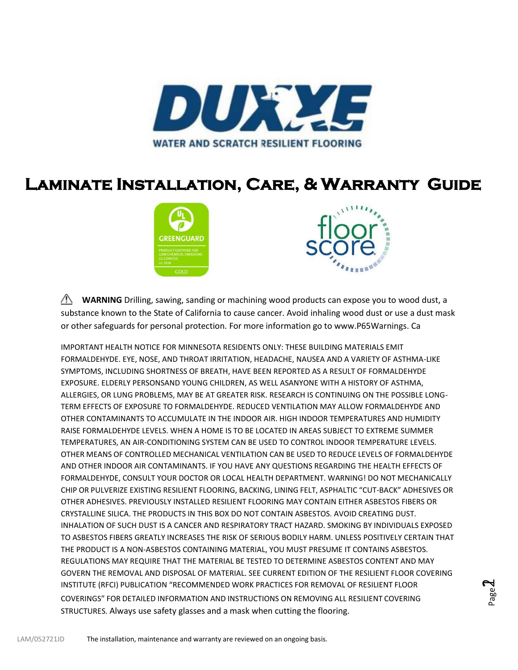

### **Laminate Installation, Care, & Warranty Guide**





Page  $\blacktriangleleft$ 

**WARNING** Drilling, sawing, sanding or machining wood products can expose you to wood dust, a substance known to the State of California to cause cancer. Avoid inhaling wood dust or use a dust mask or other safeguards for personal protection. For more information go to www.P65Warnings. Ca

IMPORTANT HEALTH NOTICE FOR MINNESOTA RESIDENTS ONLY: THESE BUILDING MATERIALS EMIT FORMALDEHYDE. EYE, NOSE, AND THROAT IRRITATION, HEADACHE, NAUSEA AND A VARIETY OF ASTHMA-LIKE SYMPTOMS, INCLUDING SHORTNESS OF BREATH, HAVE BEEN REPORTED AS A RESULT OF FORMALDEHYDE EXPOSURE. ELDERLY PERSONSAND YOUNG CHILDREN, AS WELL ASANYONE WITH A HISTORY OF ASTHMA, ALLERGIES, OR LUNG PROBLEMS, MAY BE AT GREATER RISK. RESEARCH IS CONTINUING ON THE POSSIBLE LONG-TERM EFFECTS OF EXPOSURE TO FORMALDEHYDE. REDUCED VENTILATION MAY ALLOW FORMALDEHYDE AND OTHER CONTAMINANTS TO ACCUMULATE IN THE INDOOR AIR. HIGH INDOOR TEMPERATURES AND HUMIDITY RAISE FORMALDEHYDE LEVELS. WHEN A HOME IS TO BE LOCATED IN AREAS SUBJECT TO EXTREME SUMMER TEMPERATURES, AN AIR-CONDITIONING SYSTEM CAN BE USED TO CONTROL INDOOR TEMPERATURE LEVELS. OTHER MEANS OF CONTROLLED MECHANICAL VENTILATION CAN BE USED TO REDUCE LEVELS OF FORMALDEHYDE AND OTHER INDOOR AIR CONTAMINANTS. IF YOU HAVE ANY QUESTIONS REGARDING THE HEALTH EFFECTS OF FORMALDEHYDE, CONSULT YOUR DOCTOR OR LOCAL HEALTH DEPARTMENT. WARNING! DO NOT MECHANICALLY CHIP OR PULVERIZE EXISTING RESILIENT FLOORING, BACKING, LINING FELT, ASPHALTIC "CUT-BACK" ADHESIVES OR OTHER ADHESIVES. PREVIOUSLY INSTALLED RESILIENT FLOORING MAY CONTAIN EITHER ASBESTOS FIBERS OR CRYSTALLINE SILICA. THE PRODUCTS IN THIS BOX DO NOT CONTAIN ASBESTOS. AVOID CREATING DUST. INHALATION OF SUCH DUST IS A CANCER AND RESPIRATORY TRACT HAZARD. SMOKING BY INDIVIDUALS EXPOSED TO ASBESTOS FIBERS GREATLY INCREASES THE RISK OF SERIOUS BODILY HARM. UNLESS POSITIVELY CERTAIN THAT THE PRODUCT IS A NON-ASBESTOS CONTAINING MATERIAL, YOU MUST PRESUME IT CONTAINS ASBESTOS. REGULATIONS MAY REQUIRE THAT THE MATERIAL BE TESTED TO DETERMINE ASBESTOS CONTENT AND MAY GOVERN THE REMOVAL AND DISPOSAL OF MATERIAL. SEE CURRENT EDITION OF THE RESILIENT FLOOR COVERING INSTITUTE (RFCI) PUBLICATION "RECOMMENDED WORK PRACTICES FOR REMOVAL OF RESILIENT FLOOR COVERINGS" FOR DETAILED INFORMATION AND INSTRUCTIONS ON REMOVING ALL RESILIENT COVERING STRUCTURES. Always use safety glasses and a mask when cutting the flooring.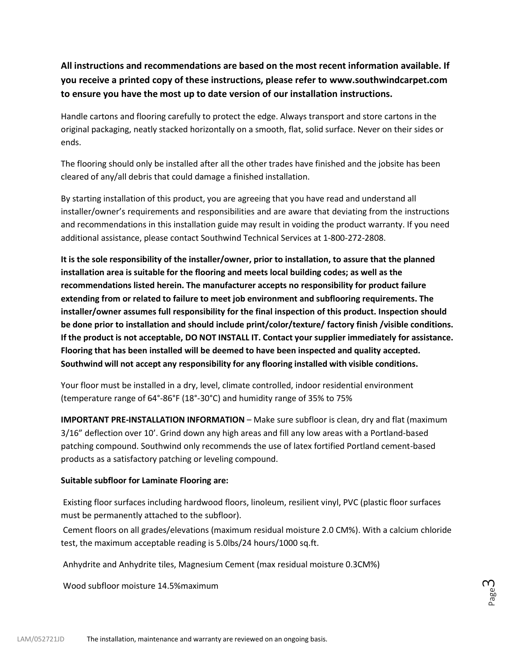### **All instructions and recommendations are based on the most recent information available. If you receive a printed copy of these instructions, please refer to [www.southwindcarpet.com](http://www.southwindcarpet.com/) to ensure you have the most up to date version of our installation instructions.**

Handle cartons and flooring carefully to protect the edge. Always transport and store cartons in the original packaging, neatly stacked horizontally on a smooth, flat, solid surface. Never on their sides or ends.

The flooring should only be installed after all the other trades have finished and the jobsite has been cleared of any/all debris that could damage a finished installation.

By starting installation of this product, you are agreeing that you have read and understand all installer/owner's requirements and responsibilities and are aware that deviating from the instructions and recommendations in this installation guide may result in voiding the product warranty. If you need additional assistance, please contact Southwind Technical Services at 1-800-272-2808.

**It is the sole responsibility of the installer/owner, prior to installation, to assure that the planned installation area is suitable for the flooring and meets local building codes; as well as the recommendations listed herein. The manufacturer accepts no responsibility for product failure extending from or related to failure to meet job environment and subflooring requirements. The installer/owner assumes full responsibility for the final inspection of this product. Inspection should be done prior to installation and should include print/color/texture/ factory finish /visible conditions. If the product is not acceptable, DO NOT INSTALL IT. Contact your supplier immediately for assistance. Flooring that has been installed will be deemed to have been inspected and quality accepted. Southwind will not accept any responsibility for any flooring installed with visible conditions.**

Your floor must be installed in a dry, level, climate controlled, indoor residential environment (temperature range of 64°-86°F (18°-30°C) and humidity range of 35% to 75%

**IMPORTANT PRE-INSTALLATION INFORMATION** – Make sure subfloor is clean, dry and flat (maximum 3/16" deflection over 10'. Grind down any high areas and fill any low areas with a Portland-based patching compound. Southwind only recommends the use of latex fortified Portland cement-based products as a satisfactory patching or leveling compound.

#### **Suitable subfloor for Laminate Flooring are:**

Existing floor surfaces including hardwood floors, linoleum, resilient vinyl, PVC (plastic floor surfaces must be permanently attached to the subfloor).

Cement floors on all grades/elevations (maximum residual moisture 2.0 CM%). With a calcium chloride test, the maximum acceptable reading is 5.0lbs/24 hours/1000 sq.ft.

Anhydrite and Anhydrite tiles, Magnesium Cement (max residual moisture 0.3CM%)

Wood subfloor moisture 14.5%maximum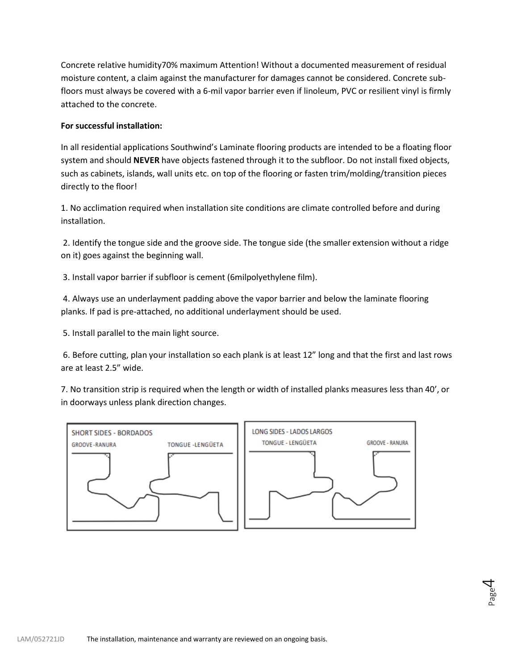Concrete relative humidity70% maximum Attention! Without a documented measurement of residual moisture content, a claim against the manufacturer for damages cannot be considered. Concrete subfloors must always be covered with a 6-mil vapor barrier even if linoleum, PVC or resilient vinyl is firmly attached to the concrete.

#### **For successful installation:**

In all residential applications Southwind's Laminate flooring products are intended to be a floating floor system and should **NEVER** have objects fastened through it to the subfloor. Do not install fixed objects, such as cabinets, islands, wall units etc. on top of the flooring or fasten trim/molding/transition pieces directly to the floor!

1. No acclimation required when installation site conditions are climate controlled before and during installation.

2. Identify the tongue side and the groove side. The tongue side (the smaller extension without a ridge on it) goes against the beginning wall.

3. Install vapor barrier if subfloor is cement (6milpolyethylene film).

4. Always use an underlayment padding above the vapor barrier and below the laminate flooring planks. If pad is pre-attached, no additional underlayment should be used.

5. Install parallel to the main light source.

6. Before cutting, plan your installation so each plank is at least 12" long and that the first and last rows are at least 2.5" wide.

7. No transition strip is required when the length or width of installed planks measures less than 40', or in doorways unless plank direction changes.

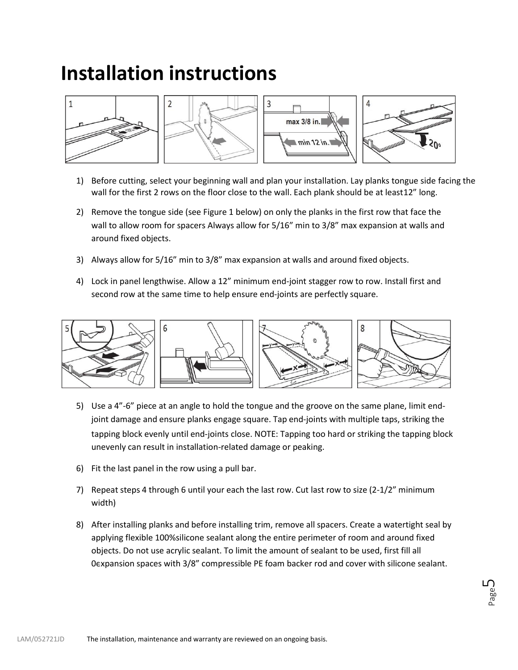# **Installation instructions**





max 3/8 in.  $\blacksquare$  min 12 in.



1) Before cutting, select your beginning wall and plan your installation. Lay planks tongue side facing the wall for the first 2 rows on the floor close to the wall. Each plank should be at least12" long.

3

- 2) Remove the tongue side (see Figure 1 below) on only the planks in the first row that face the wall to allow room for spacers Always allow for 5/16" min to 3/8" max expansion at walls and around fixed objects.
- 3) Always allow for 5/16" min to 3/8" max expansion at walls and around fixed objects.
- 4) Lock in panel lengthwise. Allow a 12" minimum end-joint stagger row to row. Install first and second row at the same time to help ensure end-joints are perfectly square.



- 5) Use a 4"-6" piece at an angle to hold the tongue and the groove on the same plane, limit endjoint damage and ensure planks engage square. Tap end-joints with multiple taps, striking the tapping block evenly until end-joints close. NOTE: Tapping too hard or striking the tapping block unevenly can result in installation-related damage or peaking.
- 6) Fit the last panel in the row using a pull bar.
- 7) Repeat steps 4 through 6 until your each the last row. Cut last row to size (2-1/2" minimum width)
- 8) After installing planks and before installing trim, remove all spacers. Create a watertight seal by applying flexible 100%silicone sealant along the entire perimeter of room and around fixed objects. Do not use acrylic sealant. To limit the amount of sealant to be used, first fill all 0expansion spaces with 3/8" compressible PE foam backer rod and cover with silicone sealant.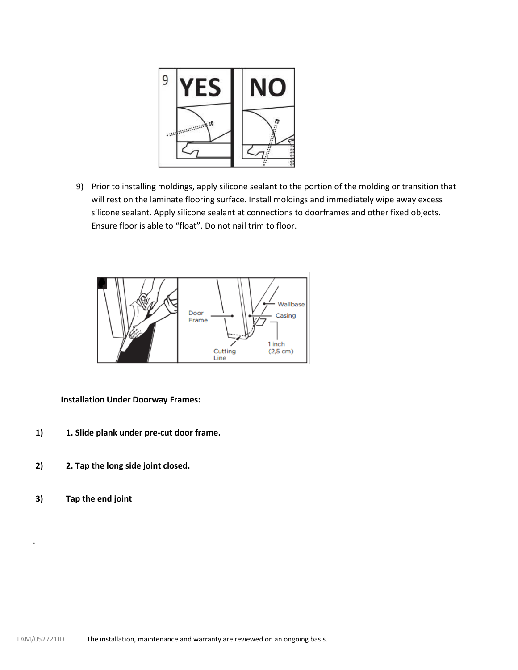

9) Prior to installing moldings, apply silicone sealant to the portion of the molding or transition that will rest on the laminate flooring surface. Install moldings and immediately wipe away excess silicone sealant. Apply silicone sealant at connections to doorframes and other fixed objects. Ensure floor is able to "float". Do not nail trim to floor.



**Installation Under Doorway Frames:**

- **1) 1. Slide plank under pre-cut door frame.**
- **2) 2. Tap the long side joint closed.**
- **3) Tap the end joint**

.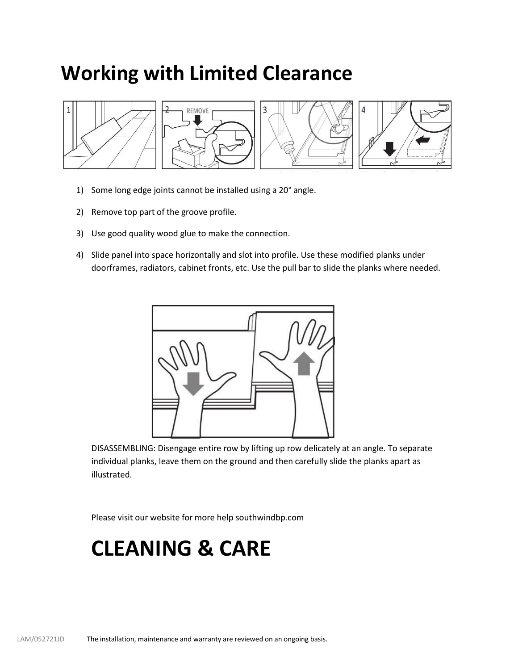## **Working with Limited Clearance**



- 1) Some long edge joints cannot be installed using a 20° angle.
- 2) Remove top part of the groove profile.
- 3) Use good quality wood glue to make the connection.
- 4) Slide panel into space horizontally and slot into profile. Use these modified planks under doorframes, radiators, cabinet fronts, etc. Use the pull bar to slide the planks where needed.



DISASSEMBLING: Disengage entire row by lifting up row delicately at an angle. To separate individual planks, leave them on the ground and then carefully slide the planks apart as illustrated.

Please visit our website for more help [southwindbp.com](https://southwindcarpet.com/flooring-products)

# **CLEANING & CARE**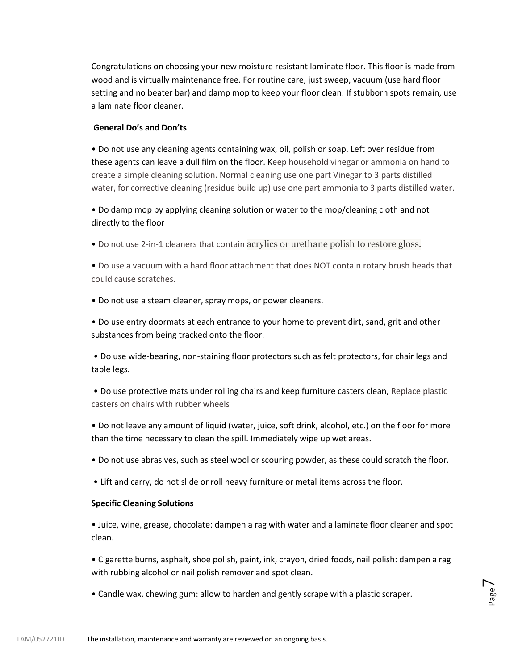Congratulations on choosing your new moisture resistant laminate floor. This floor is made from wood and is virtually maintenance free. For routine care, just sweep, vacuum (use hard floor setting and no beater bar) and damp mop to keep your floor clean. If stubborn spots remain, use a laminate floor cleaner.

#### **General Do's and Don'ts**

• Do not use any cleaning agents containing wax, oil, polish or soap. Left over residue from these agents can leave a dull film on the floor. Keep household vinegar or ammonia on hand to create a simple cleaning solution. Normal cleaning use one part Vinegar to 3 parts distilled water, for corrective cleaning (residue build up) use one part ammonia to 3 parts distilled water.

• Do damp mop by applying cleaning solution or water to the mop/cleaning cloth and not directly to the floor

• Do not use 2-in-1 cleaners that contain acrylics or urethane polish to restore gloss.

• Do use a vacuum with a hard floor attachment that does NOT contain rotary brush heads that could cause scratches.

• Do not use a steam cleaner, spray mops, or power cleaners.

• Do use entry doormats at each entrance to your home to prevent dirt, sand, grit and other substances from being tracked onto the floor.

• Do use wide-bearing, non-staining floor protectors such as felt protectors, for chair legs and table legs.

• Do use protective mats under rolling chairs and keep furniture casters clean, Replace plastic casters on chairs with rubber wheels

• Do not leave any amount of liquid (water, juice, soft drink, alcohol, etc.) on the floor for more than the time necessary to clean the spill. Immediately wipe up wet areas.

• Do not use abrasives, such as steel wool or scouring powder, as these could scratch the floor.

• Lift and carry, do not slide or roll heavy furniture or metal items across the floor.

#### **Specific Cleaning Solutions**

• Juice, wine, grease, chocolate: dampen a rag with water and a laminate floor cleaner and spot clean.

• Cigarette burns, asphalt, shoe polish, paint, ink, crayon, dried foods, nail polish: dampen a rag with rubbing alcohol or nail polish remover and spot clean.

> Page  $\overline{\phantom{1}}$

• Candle wax, chewing gum: allow to harden and gently scrape with a plastic scraper.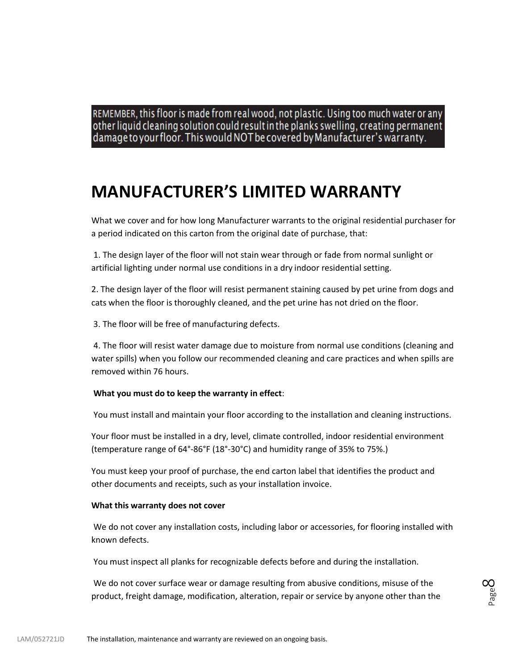REMEMBER, this floor is made from real wood, not plastic. Using too much water or any other liquid cleaning solution could result in the planks swelling, creating permanent damage to your floor. This would NOT be covered by Manufacturer's warranty.

### **MANUFACTURER'S LIMITED WARRANTY**

What we cover and for how long Manufacturer warrants to the original residential purchaser for a period indicated on this carton from the original date of purchase, that:

1. The design layer of the floor will not stain wear through or fade from normal sunlight or artificial lighting under normal use conditions in a dry indoor residential setting.

2. The design layer of the floor will resist permanent staining caused by pet urine from dogs and cats when the floor is thoroughly cleaned, and the pet urine has not dried on the floor.

3. The floor will be free of manufacturing defects.

4. The floor will resist water damage due to moisture from normal use conditions (cleaning and water spills) when you follow our recommended cleaning and care practices and when spills are removed within 76 hours.

#### **What you must do to keep the warranty in effect**:

You must install and maintain your floor according to the installation and cleaning instructions.

Your floor must be installed in a dry, level, climate controlled, indoor residential environment (temperature range of 64°-86°F (18°-30°C) and humidity range of 35% to 75%.)

You must keep your proof of purchase, the end carton label that identifies the product and other documents and receipts, such as your installation invoice.

#### **What this warranty does not cover**

We do not cover any installation costs, including labor or accessories, for flooring installed with known defects.

You must inspect all planks for recognizable defects before and during the installation.

We do not cover surface wear or damage resulting from abusive conditions, misuse of the product, freight damage, modification, alteration, repair or service by anyone other than the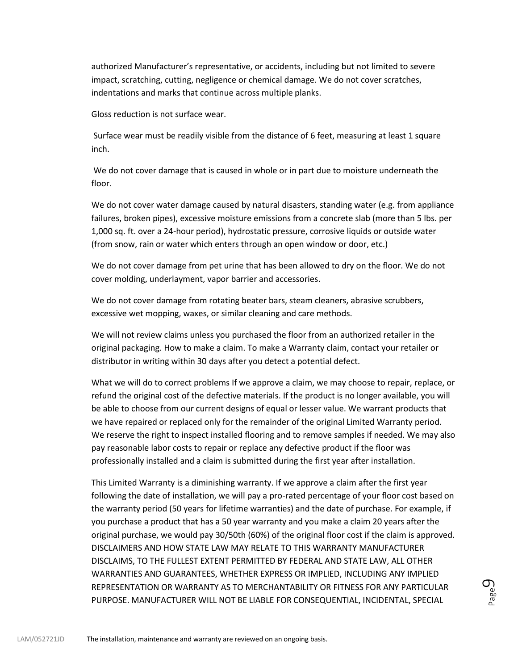authorized Manufacturer's representative, or accidents, including but not limited to severe impact, scratching, cutting, negligence or chemical damage. We do not cover scratches, indentations and marks that continue across multiple planks.

Gloss reduction is not surface wear.

Surface wear must be readily visible from the distance of 6 feet, measuring at least 1 square inch.

We do not cover damage that is caused in whole or in part due to moisture underneath the floor.

We do not cover water damage caused by natural disasters, standing water (e.g. from appliance failures, broken pipes), excessive moisture emissions from a concrete slab (more than 5 lbs. per 1,000 sq. ft. over a 24-hour period), hydrostatic pressure, corrosive liquids or outside water (from snow, rain or water which enters through an open window or door, etc.)

We do not cover damage from pet urine that has been allowed to dry on the floor. We do not cover molding, underlayment, vapor barrier and accessories.

We do not cover damage from rotating beater bars, steam cleaners, abrasive scrubbers, excessive wet mopping, waxes, or similar cleaning and care methods.

We will not review claims unless you purchased the floor from an authorized retailer in the original packaging. How to make a claim. To make a Warranty claim, contact your retailer or distributor in writing within 30 days after you detect a potential defect.

What we will do to correct problems If we approve a claim, we may choose to repair, replace, or refund the original cost of the defective materials. If the product is no longer available, you will be able to choose from our current designs of equal or lesser value. We warrant products that we have repaired or replaced only for the remainder of the original Limited Warranty period. We reserve the right to inspect installed flooring and to remove samples if needed. We may also pay reasonable labor costs to repair or replace any defective product if the floor was professionally installed and a claim is submitted during the first year after installation.

This Limited Warranty is a diminishing warranty. If we approve a claim after the first year following the date of installation, we will pay a pro-rated percentage of your floor cost based on the warranty period (50 years for lifetime warranties) and the date of purchase. For example, if you purchase a product that has a 50 year warranty and you make a claim 20 years after the original purchase, we would pay 30/50th (60%) of the original floor cost if the claim is approved. DISCLAIMERS AND HOW STATE LAW MAY RELATE TO THIS WARRANTY MANUFACTURER DISCLAIMS, TO THE FULLEST EXTENT PERMITTED BY FEDERAL AND STATE LAW, ALL OTHER WARRANTIES AND GUARANTEES, WHETHER EXPRESS OR IMPLIED, INCLUDING ANY IMPLIED REPRESENTATION OR WARRANTY AS TO MERCHANTABILITY OR FITNESS FOR ANY PARTICULAR PURPOSE. MANUFACTURER WILL NOT BE LIABLE FOR CONSEQUENTIAL, INCIDENTAL, SPECIAL